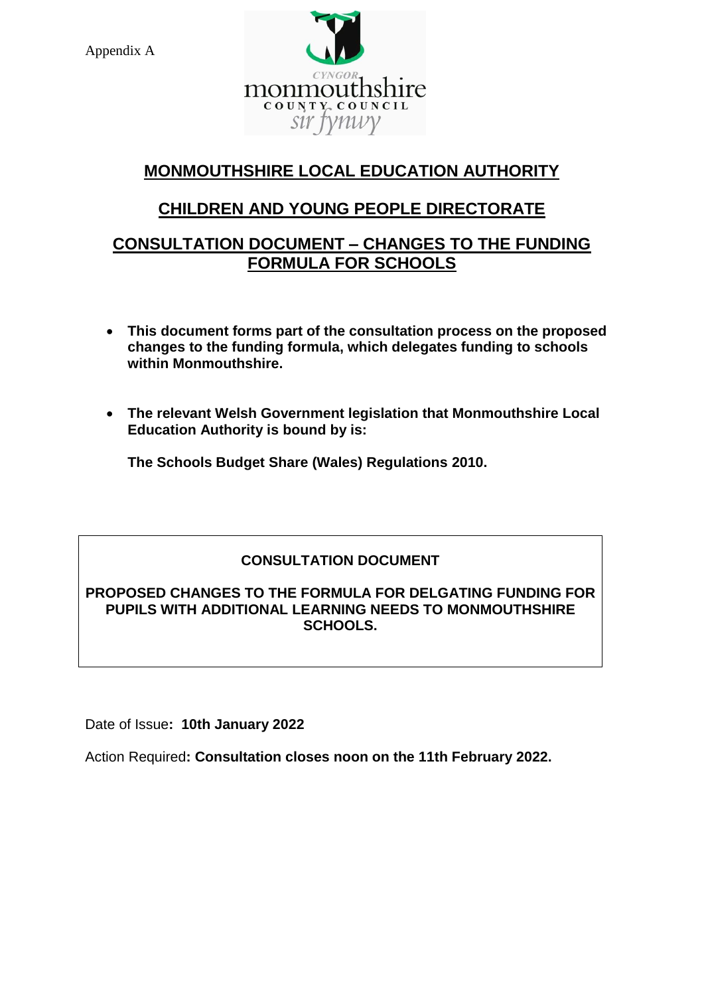Appendix A



# **MONMOUTHSHIRE LOCAL EDUCATION AUTHORITY**

# **CHILDREN AND YOUNG PEOPLE DIRECTORATE**

## **CONSULTATION DOCUMENT – CHANGES TO THE FUNDING FORMULA FOR SCHOOLS**

- **This document forms part of the consultation process on the proposed changes to the funding formula, which delegates funding to schools within Monmouthshire.**
- **The relevant Welsh Government legislation that Monmouthshire Local Education Authority is bound by is:**

**The Schools Budget Share (Wales) Regulations 2010.**

## **CONSULTATION DOCUMENT**

#### **PROPOSED CHANGES TO THE FORMULA FOR DELGATING FUNDING FOR PUPILS WITH ADDITIONAL LEARNING NEEDS TO MONMOUTHSHIRE SCHOOLS.**

Date of Issue**: 10th January 2022**

Action Required**: Consultation closes noon on the 11th February 2022.**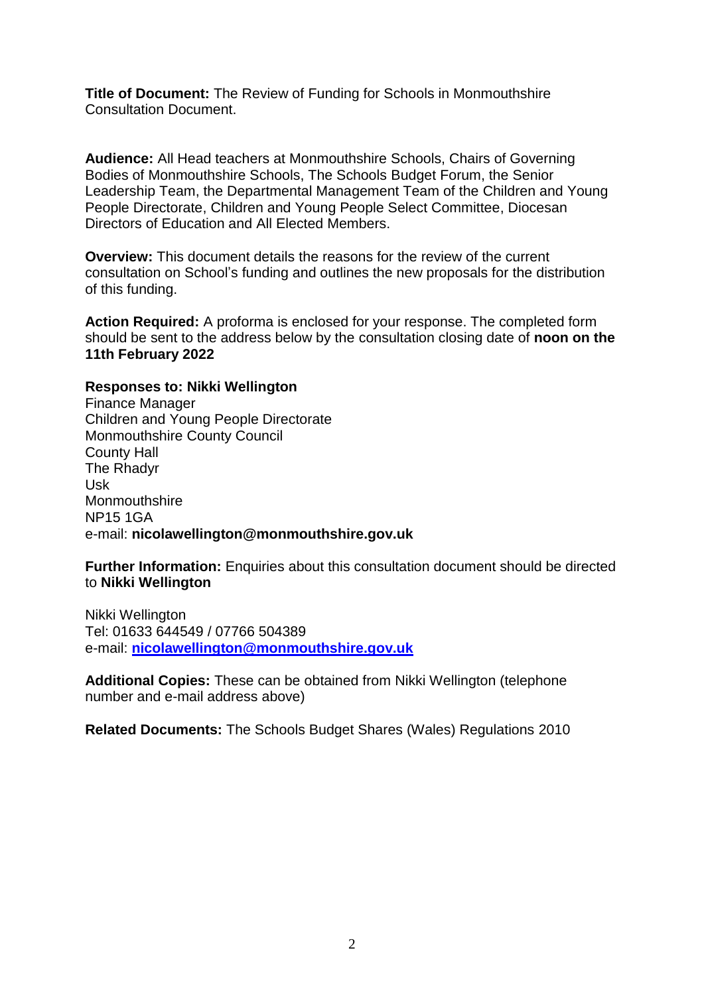**Title of Document:** The Review of Funding for Schools in Monmouthshire Consultation Document.

**Audience:** All Head teachers at Monmouthshire Schools, Chairs of Governing Bodies of Monmouthshire Schools, The Schools Budget Forum, the Senior Leadership Team, the Departmental Management Team of the Children and Young People Directorate, Children and Young People Select Committee, Diocesan Directors of Education and All Elected Members.

**Overview:** This document details the reasons for the review of the current consultation on School's funding and outlines the new proposals for the distribution of this funding.

**Action Required:** A proforma is enclosed for your response. The completed form should be sent to the address below by the consultation closing date of **noon on the 11th February 2022**

#### **Responses to: Nikki Wellington**

Finance Manager Children and Young People Directorate Monmouthshire County Council County Hall The Rhadyr Usk **Monmouthshire** NP15 1GA e-mail: **nicolawellington@monmouthshire.gov.uk**

**Further Information:** Enquiries about this consultation document should be directed to **Nikki Wellington**

Nikki Wellington Tel: 01633 644549 / 07766 504389 e-mail: **[nicolawellington@monmouthshire.gov.uk](mailto:nicolawellington@monmouthshire.gov.uk)**

**Additional Copies:** These can be obtained from Nikki Wellington (telephone number and e-mail address above)

**Related Documents:** The Schools Budget Shares (Wales) Regulations 2010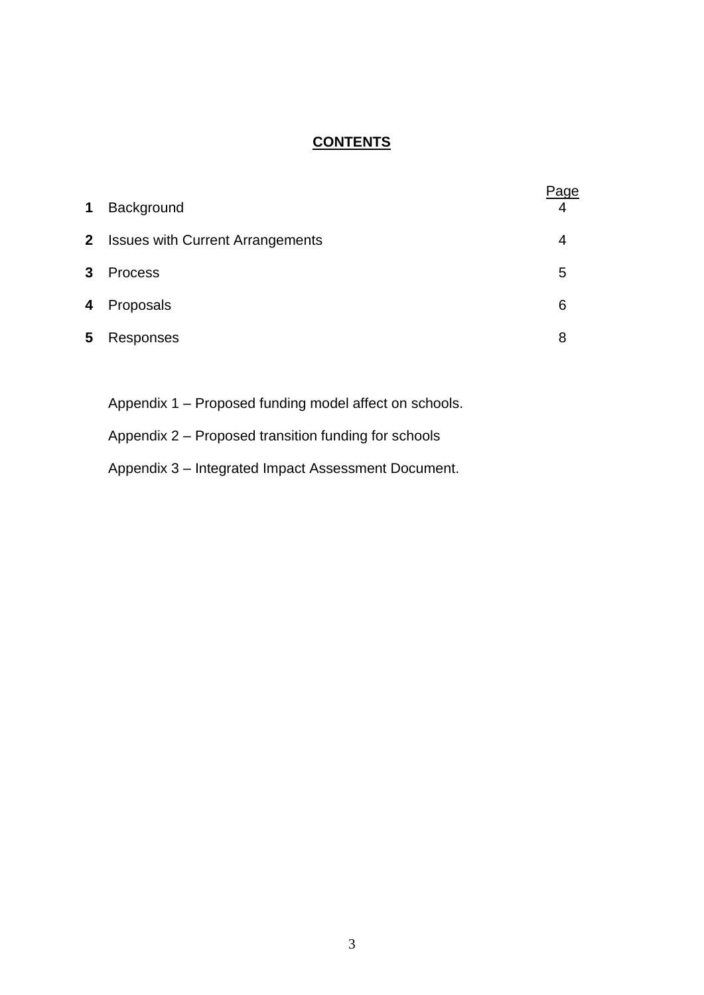## **CONTENTS**

| $\mathbf 1$  | Background                              | 'age<br>4 |
|--------------|-----------------------------------------|-----------|
| $\mathbf{2}$ | <b>Issues with Current Arrangements</b> | 4         |
| $\mathbf{3}$ | <b>Process</b>                          | 5         |
| 4            | Proposals                               | 6         |
| 5            | Responses                               | 8         |

Appendix 1 – Proposed funding model affect on schools.

- Appendix 2 Proposed transition funding for schools
- Appendix 3 Integrated Impact Assessment Document.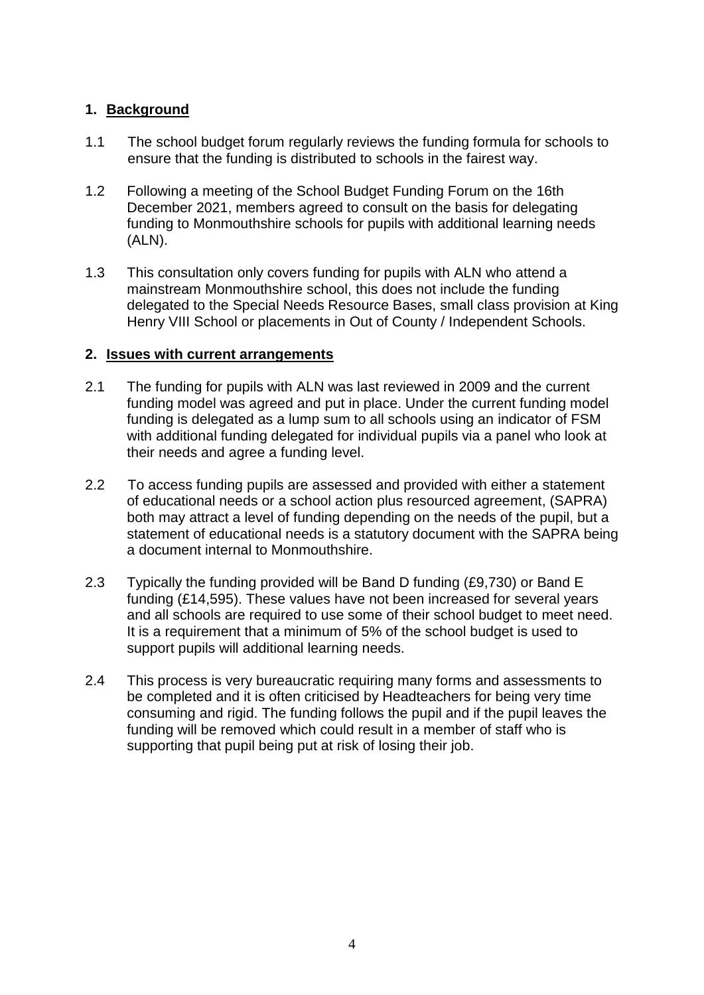#### **1. Background**

- 1.1 The school budget forum regularly reviews the funding formula for schools to ensure that the funding is distributed to schools in the fairest way.
- 1.2 Following a meeting of the School Budget Funding Forum on the 16th December 2021, members agreed to consult on the basis for delegating funding to Monmouthshire schools for pupils with additional learning needs (ALN).
- 1.3 This consultation only covers funding for pupils with ALN who attend a mainstream Monmouthshire school, this does not include the funding delegated to the Special Needs Resource Bases, small class provision at King Henry VIII School or placements in Out of County / Independent Schools.

#### **2. Issues with current arrangements**

- 2.1 The funding for pupils with ALN was last reviewed in 2009 and the current funding model was agreed and put in place. Under the current funding model funding is delegated as a lump sum to all schools using an indicator of FSM with additional funding delegated for individual pupils via a panel who look at their needs and agree a funding level.
- 2.2 To access funding pupils are assessed and provided with either a statement of educational needs or a school action plus resourced agreement, (SAPRA) both may attract a level of funding depending on the needs of the pupil, but a statement of educational needs is a statutory document with the SAPRA being a document internal to Monmouthshire.
- 2.3 Typically the funding provided will be Band D funding (£9,730) or Band E funding (£14,595). These values have not been increased for several years and all schools are required to use some of their school budget to meet need. It is a requirement that a minimum of 5% of the school budget is used to support pupils will additional learning needs.
- 2.4 This process is very bureaucratic requiring many forms and assessments to be completed and it is often criticised by Headteachers for being very time consuming and rigid. The funding follows the pupil and if the pupil leaves the funding will be removed which could result in a member of staff who is supporting that pupil being put at risk of losing their job.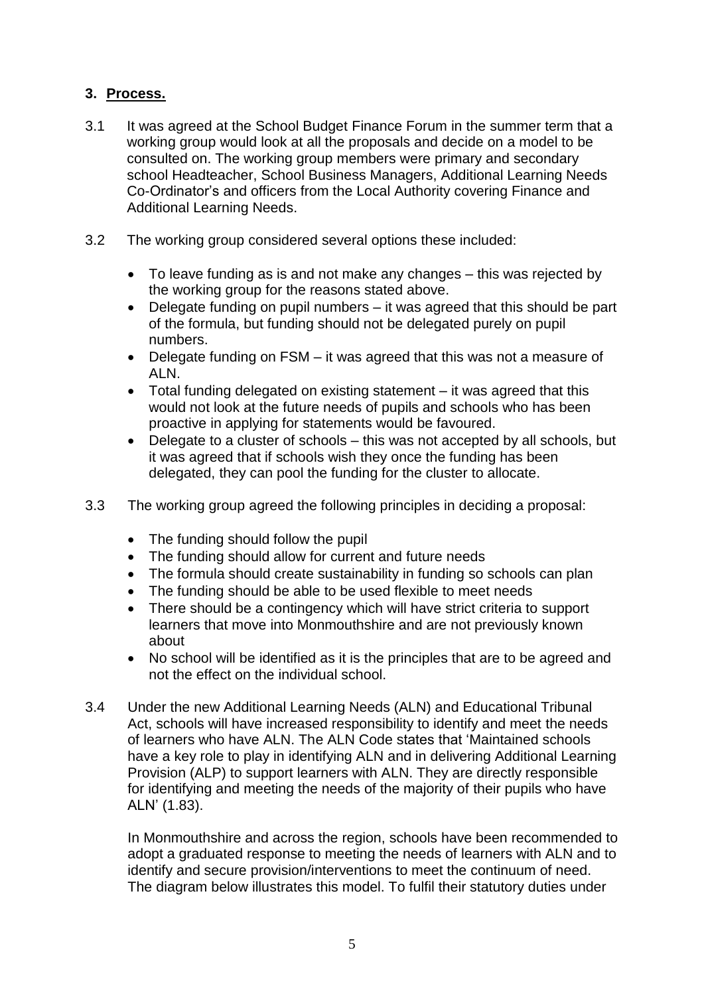### **3. Process.**

- 3.1 It was agreed at the School Budget Finance Forum in the summer term that a working group would look at all the proposals and decide on a model to be consulted on. The working group members were primary and secondary school Headteacher, School Business Managers, Additional Learning Needs Co-Ordinator's and officers from the Local Authority covering Finance and Additional Learning Needs.
- 3.2 The working group considered several options these included:
	- To leave funding as is and not make any changes this was rejected by the working group for the reasons stated above.
	- Delegate funding on pupil numbers it was agreed that this should be part of the formula, but funding should not be delegated purely on pupil numbers.
	- Delegate funding on FSM it was agreed that this was not a measure of ALN.
	- Total funding delegated on existing statement it was agreed that this would not look at the future needs of pupils and schools who has been proactive in applying for statements would be favoured.
	- Delegate to a cluster of schools this was not accepted by all schools, but it was agreed that if schools wish they once the funding has been delegated, they can pool the funding for the cluster to allocate.
- 3.3 The working group agreed the following principles in deciding a proposal:
	- The funding should follow the pupil
	- The funding should allow for current and future needs
	- The formula should create sustainability in funding so schools can plan
	- The funding should be able to be used flexible to meet needs
	- There should be a contingency which will have strict criteria to support learners that move into Monmouthshire and are not previously known about
	- No school will be identified as it is the principles that are to be agreed and not the effect on the individual school.
- 3.4 Under the new Additional Learning Needs (ALN) and Educational Tribunal Act, schools will have increased responsibility to identify and meet the needs of learners who have ALN. The ALN Code states that 'Maintained schools have a key role to play in identifying ALN and in delivering Additional Learning Provision (ALP) to support learners with ALN. They are directly responsible for identifying and meeting the needs of the majority of their pupils who have ALN' (1.83).

In Monmouthshire and across the region, schools have been recommended to adopt a graduated response to meeting the needs of learners with ALN and to identify and secure provision/interventions to meet the continuum of need. The diagram below illustrates this model. To fulfil their statutory duties under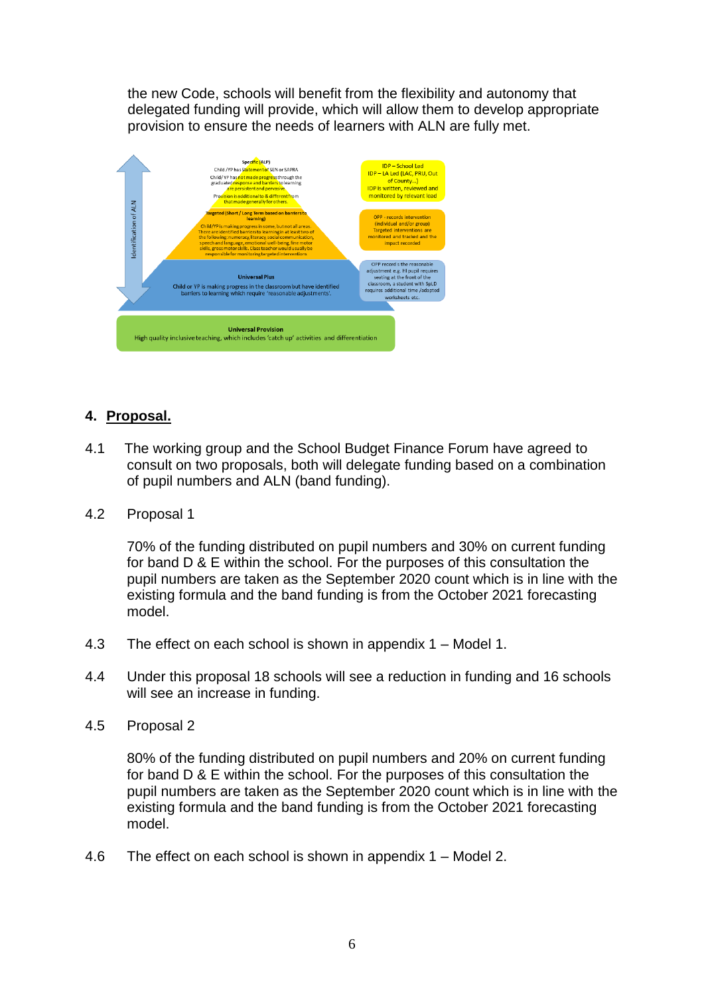the new Code, schools will benefit from the flexibility and autonomy that delegated funding will provide, which will allow them to develop appropriate provision to ensure the needs of learners with ALN are fully met.



## **4. Proposal.**

- 4.1 The working group and the School Budget Finance Forum have agreed to consult on two proposals, both will delegate funding based on a combination of pupil numbers and ALN (band funding).
- 4.2 Proposal 1

70% of the funding distributed on pupil numbers and 30% on current funding for band D & E within the school. For the purposes of this consultation the pupil numbers are taken as the September 2020 count which is in line with the existing formula and the band funding is from the October 2021 forecasting model.

- 4.3 The effect on each school is shown in appendix 1 Model 1.
- 4.4 Under this proposal 18 schools will see a reduction in funding and 16 schools will see an increase in funding.
- 4.5 Proposal 2

80% of the funding distributed on pupil numbers and 20% on current funding for band D & E within the school. For the purposes of this consultation the pupil numbers are taken as the September 2020 count which is in line with the existing formula and the band funding is from the October 2021 forecasting model.

4.6 The effect on each school is shown in appendix 1 – Model 2.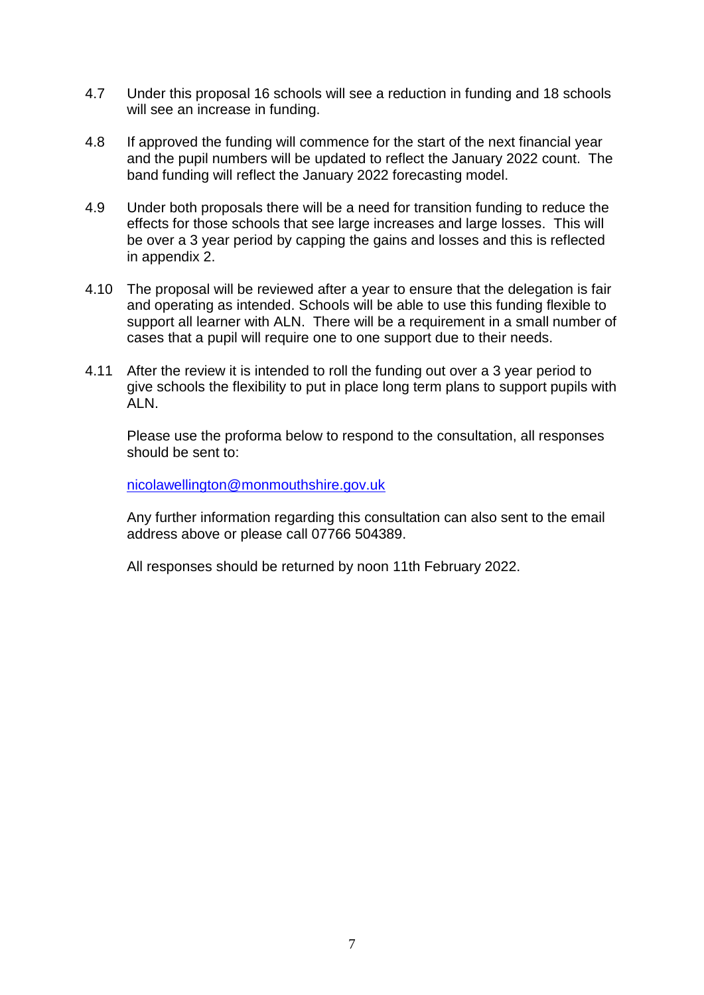- 4.7 Under this proposal 16 schools will see a reduction in funding and 18 schools will see an increase in funding.
- 4.8 If approved the funding will commence for the start of the next financial year and the pupil numbers will be updated to reflect the January 2022 count. The band funding will reflect the January 2022 forecasting model.
- 4.9 Under both proposals there will be a need for transition funding to reduce the effects for those schools that see large increases and large losses. This will be over a 3 year period by capping the gains and losses and this is reflected in appendix 2.
- 4.10 The proposal will be reviewed after a year to ensure that the delegation is fair and operating as intended. Schools will be able to use this funding flexible to support all learner with ALN. There will be a requirement in a small number of cases that a pupil will require one to one support due to their needs.
- 4.11 After the review it is intended to roll the funding out over a 3 year period to give schools the flexibility to put in place long term plans to support pupils with ALN.

Please use the proforma below to respond to the consultation, all responses should be sent to:

[nicolawellington@monmouthshire.gov.uk](mailto:nicolawellington@monmouthshire.gov.uk)

Any further information regarding this consultation can also sent to the email address above or please call 07766 504389.

All responses should be returned by noon 11th February 2022.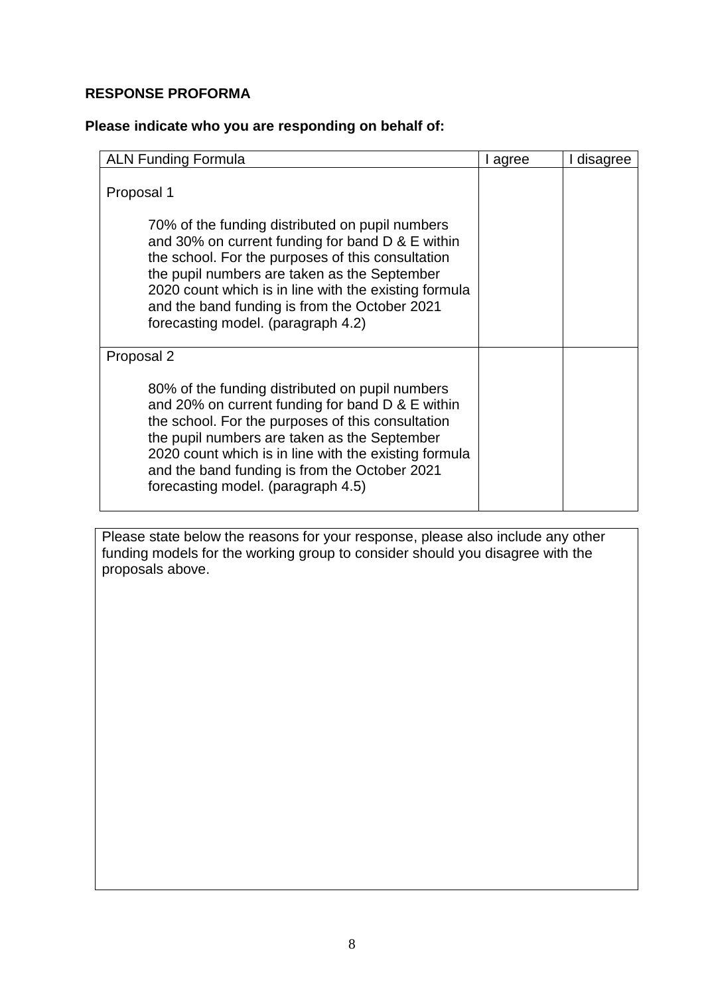### **RESPONSE PROFORMA**

### **Please indicate who you are responding on behalf of:**

| <b>ALN Funding Formula</b>                                                                                                                                                                                                                                                                                                                                             | I agree | I disagree |
|------------------------------------------------------------------------------------------------------------------------------------------------------------------------------------------------------------------------------------------------------------------------------------------------------------------------------------------------------------------------|---------|------------|
| Proposal 1<br>70% of the funding distributed on pupil numbers<br>and 30% on current funding for band D & E within<br>the school. For the purposes of this consultation<br>the pupil numbers are taken as the September<br>2020 count which is in line with the existing formula<br>and the band funding is from the October 2021<br>forecasting model. (paragraph 4.2) |         |            |
| Proposal 2<br>80% of the funding distributed on pupil numbers<br>and 20% on current funding for band D & E within<br>the school. For the purposes of this consultation<br>the pupil numbers are taken as the September<br>2020 count which is in line with the existing formula<br>and the band funding is from the October 2021<br>forecasting model. (paragraph 4.5) |         |            |

Please state below the reasons for your response, please also include any other funding models for the working group to consider should you disagree with the proposals above.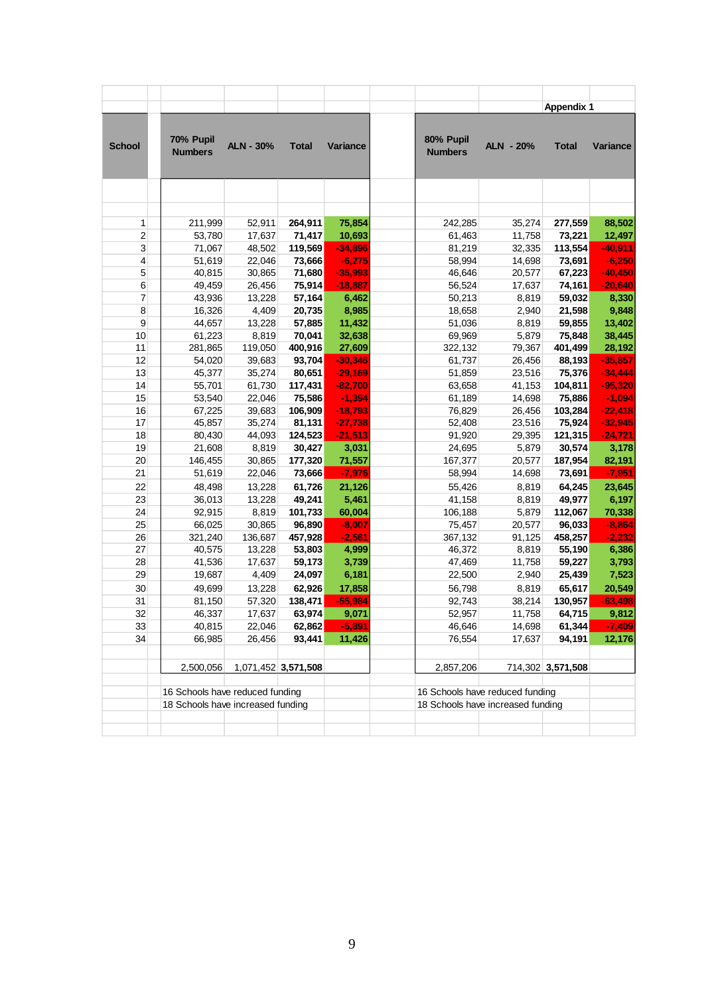|                |                                                                      |                   |                     |                    |                                   |                  | <b>Appendix 1</b> |                    |
|----------------|----------------------------------------------------------------------|-------------------|---------------------|--------------------|-----------------------------------|------------------|-------------------|--------------------|
| <b>School</b>  | 70% Pupil<br><b>Numbers</b>                                          | <b>ALN - 30%</b>  | <b>Total</b>        | Variance           | 80% Pupil<br><b>Numbers</b>       | <b>ALN - 20%</b> | <b>Total</b>      | <b>Variance</b>    |
|                |                                                                      |                   |                     |                    |                                   |                  |                   |                    |
|                |                                                                      |                   |                     |                    |                                   |                  |                   |                    |
| 1              | 211,999                                                              | 52,911            | 264,911             | 75,854             | 242,285                           | 35,274           | 277,559           | 88,502             |
| $\overline{2}$ | 53,780                                                               | 17,637            | 71,417              | 10,693             | 61,463                            | 11,758           | 73,221            | 12,497             |
| 3              | 71,067                                                               | 48,502            | 119,569             | $-34,896$          | 81,219                            | 32,335           | 113,554           | $-40,911$          |
| 4              | 51,619                                                               | 22,046            | 73,666              | $-6,275$           | 58,994                            | 14,698           | 73,691            | $-6,250$           |
| 5              | 40,815                                                               | 30,865            | 71,680              | $-35,993$          | 46,646                            | 20,577           | 67,223            | $-40,450$          |
| 6              | 49,459                                                               | 26,456            | 75,914              | $-18,887$          | 56,524                            | 17,637           | 74,161            | $-20,640$          |
| 7              | 43,936                                                               | 13,228            | 57,164              | 6,462              | 50,213                            | 8,819            | 59,032            | 8,330              |
| 8              | 16,326                                                               | 4,409             | 20,735              | 8,985              | 18,658                            | 2,940            | 21,598            | 9,848              |
| 9              | 44,657                                                               | 13,228            | 57,885              | 11,432             | 51,036                            | 8,819            | 59,855            | 13,402             |
| 10             | 61,223                                                               | 8,819             | 70,041              | 32,638             | 69,969                            | 5,879            | 75,848            | 38,445             |
| 11             | 281,865                                                              | 119,050           | 400,916             | 27,609             | 322,132                           | 79,367           | 401,499           | 28,192             |
| 12             | 54,020                                                               | 39,683            | 93,704              | $-30,346$          | 61,737                            | 26,456           | 88,193            | $-35,857$          |
| 13             | 45,377                                                               | 35,274            | 80,651              | $-29,169$          | 51,859                            | 23,516           | 75,376            | $-34,444$          |
| 14             | 55,701                                                               | 61,730            | 117,431             | $-82,700$          | 63,658                            | 41,153           | 104,811           | $-95,320$          |
| 15             | 53,540                                                               | 22,046            | 75,586              | $-1,394$           | 61,189                            | 14,698           | 75,886            | $-1,094$           |
| 16             | 67,225                                                               | 39,683            | 106,909             | $-18,793$          | 76,829                            | 26,456           | 103,284           | $-22,418$          |
| 17             | 45,857                                                               | 35,274            | 81,131              | $-27,738$          | 52,408                            | 23,516           | 75,924            | $-32,945$          |
| 18             | 80,430                                                               | 44,093            | 124,523             | $-21,513$          | 91,920                            | 29,395           | 121,315           | $-24,721$          |
| 19             | 21,608                                                               | 8,819             | 30,427              | 3,031              | 24,695                            | 5,879            | 30,574            | 3,178              |
| 20<br>21       | 146,455                                                              | 30,865            | 177,320             | 71,557             | 167,377                           | 20,577           | 187,954           | 82,191             |
|                | 51,619                                                               | 22,046            | 73,666              | $-7,976$           | 58,994                            | 14,698           | 73,691            | $-7,951$           |
| 22             | 48,498                                                               | 13,228            | 61,726              | 21,126             | 55,426                            | 8,819            | 64,245            | 23,645             |
| 23             | 36,013                                                               | 13,228            | 49,241              | 5,461              | 41,158                            | 8,819            | 49,977            | 6,197              |
| 24<br>25       | 92,915                                                               | 8,819             | 101,733<br>96,890   | 60,004<br>$-8,007$ | 106,188                           | 5,879            | 112,067<br>96,033 | 70,338<br>$-8,864$ |
| 26             | 66,025<br>321,240                                                    | 30,865<br>136,687 | 457,928             | $-2,561$           | 75,457<br>367,132                 | 20,577<br>91,125 | 458,257           | $-2,232$           |
| 27             | 40,575                                                               | 13,228            | 53,803              | 4,999              | 46,372                            | 8,819            | 55,190            | 6,386              |
| 28             | 41,536                                                               | 17,637            | 59,173              | 3,739              | 47,469                            | 11,758           | 59,227            | 3,793              |
| 29             | 19,687                                                               | 4,409             | 24,097              | 6,181              | 22,500                            | 2,940            | 25,439            | 7,523              |
| 30             | 49,699                                                               | 13,228            | 62,926              | 17,858             | 56,798                            | 8,819            | 65,617            | 20,549             |
| 31             | 81,150                                                               | 57,320            | 138,471             | $-55,984$          | 92,743                            | 38,214           | 130,957           | $-63,498$          |
| 32             | 46,337                                                               | 17,637            | 63,974              | 9,071              | 52,957                            | 11,758           | 64,715            | 9,812              |
| 33             | 40,815                                                               | 22,046            | 62,862              | $-5,891$           | 46,646                            | 14,698           | 61,344            | $-7,409$           |
| 34             | 66,985                                                               | 26,456            | 93,441              | 11,426             | 76,554                            | 17,637           | 94,191            | 12,176             |
|                |                                                                      |                   |                     |                    |                                   |                  |                   |                    |
|                | 2,500,056                                                            |                   | 1,071,452 3,571,508 |                    | 2,857,206                         |                  | 714,302 3,571,508 |                    |
|                |                                                                      |                   |                     |                    | 16 Schools have reduced funding   |                  |                   |                    |
|                | 16 Schools have reduced funding<br>18 Schools have increased funding |                   |                     |                    | 18 Schools have increased funding |                  |                   |                    |
|                |                                                                      |                   |                     |                    |                                   |                  |                   |                    |
|                |                                                                      |                   |                     |                    |                                   |                  |                   |                    |